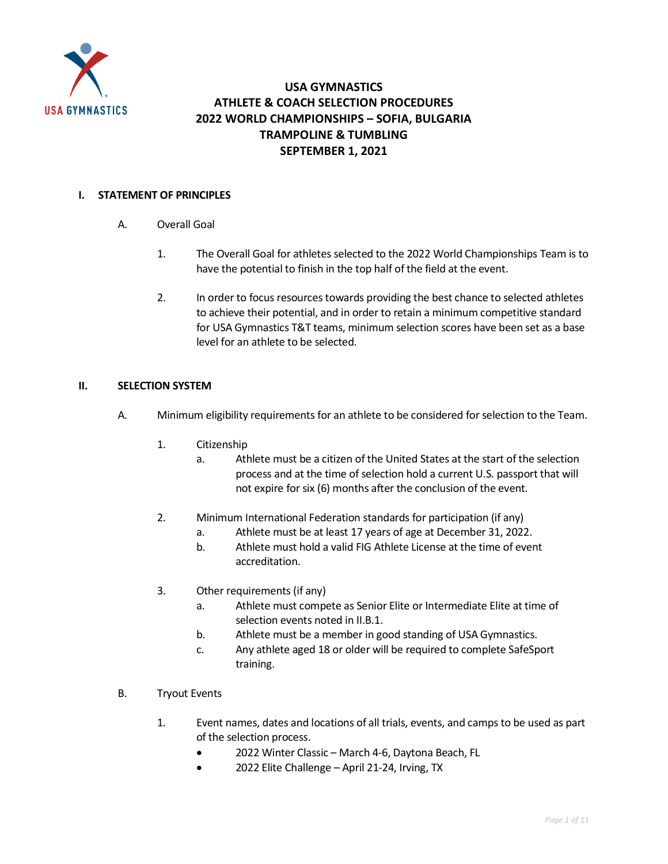

### **USA GYMNASTICS ATHLETE & COACH SELECTION PROCEDURES 2022 WORLD CHAMPIONSHIPS – SOFIA, BULGARIA TRAMPOLINE & TUMBLING SEPTEMBER 1, 2021**

#### **I. STATEMENT OF PRINCIPLES**

- A. Overall Goal
	- 1. The Overall Goal for athletes selected to the 2022 World Championships Team is to have the potential to finish in the top half of the field at the event.
	- 2. In order to focus resources towards providing the best chance to selected athletes to achieve their potential, and in order to retain a minimum competitive standard for USA Gymnastics T&T teams, minimum selection scores have been set as a base level for an athlete to be selected.

#### **II. SELECTION SYSTEM**

- A. Minimum eligibility requirements for an athlete to be considered for selection to the Team.
	- 1. Citizenship
		- a. Athlete must be a citizen of the United States at the start of the selection process and at the time of selection hold a current U.S. passport that will not expire for six (6) months after the conclusion of the event.
	- 2. Minimum International Federation standards for participation (if any)
		- a. Athlete must be at least 17 years of age at December 31, 2022.
		- b. Athlete must hold a valid FIG Athlete License at the time of event accreditation.
	- 3. Other requirements (if any)
		- a. Athlete must compete as Senior Elite or Intermediate Elite at time of selection events noted in II.B.1.
		- b. Athlete must be a member in good standing of USA Gymnastics.
		- c. Any athlete aged 18 or older will be required to complete SafeSport training.
- B. Tryout Events
	- 1. Event names, dates and locations of all trials, events, and camps to be used as part of the selection process.
		- 2022 Winter Classic March 4-6, Daytona Beach, FL
		- 2022 Elite Challenge April 21-24, Irving, TX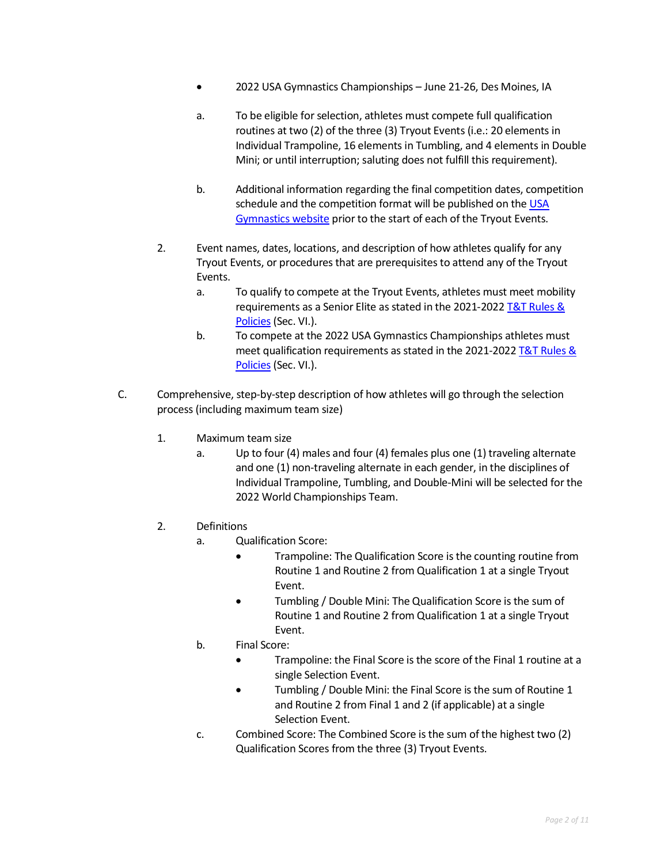- 2022 USA Gymnastics Championships June 21-26, Des Moines, IA
- a. To be eligible for selection, athletes must compete full qualification routines at two (2) of the three (3) Tryout Events (i.e.: 20 elements in Individual Trampoline, 16 elements in Tumbling, and 4 elements in Double Mini; or until interruption; saluting does not fulfill this requirement).
- b. Additional information regarding the final competition dates, competition schedule and the competition format will be published on the USA [Gymnastics website](https://www.usagym.org/pages/tt/events/program_events.html) prior to the start of each of the Tryout Events.
- 2. Event names, dates, locations, and description of how athletes qualify for any Tryout Events, or procedures that are prerequisites to attend any of the Tryout Events.
	- a. To qualify to compete at the Tryout Events, athletes must meet mobility requirements as a Senior Elite as stated in the 2021-2022 T&T Rules & [Policies](https://usagym.org/pages/tt/pages/rules_policies.html) (Sec. VI.).
	- b. To compete at the 2022 USA Gymnastics Championships athletes must meet qualification requirements as stated in the 2021-2022 [T&T Rules &](https://usagym.org/pages/tt/pages/rules_policies.html)  [Policies](https://usagym.org/pages/tt/pages/rules_policies.html) (Sec. VI.).
- C. Comprehensive, step-by-step description of how athletes will go through the selection process (including maximum team size)
	- 1. Maximum team size
		- a. Up to four (4) males and four (4) females plus one (1) traveling alternate and one (1) non-traveling alternate in each gender, in the disciplines of Individual Trampoline, Tumbling, and Double-Mini will be selected for the 2022 World Championships Team.
	- 2. Definitions
		- a. Qualification Score:
			- Trampoline: The Qualification Score is the counting routine from Routine 1 and Routine 2 from Qualification 1 at a single Tryout Event.
			- Tumbling / Double Mini: The Qualification Score is the sum of Routine 1 and Routine 2 from Qualification 1 at a single Tryout Event.
		- b. Final Score:
			- Trampoline: the Final Score is the score of the Final 1 routine at a single Selection Event.
			- Tumbling / Double Mini: the Final Score is the sum of Routine 1 and Routine 2 from Final 1 and 2 (if applicable) at a single Selection Event.
		- c. Combined Score: The Combined Score is the sum of the highest two (2) Qualification Scores from the three (3) Tryout Events.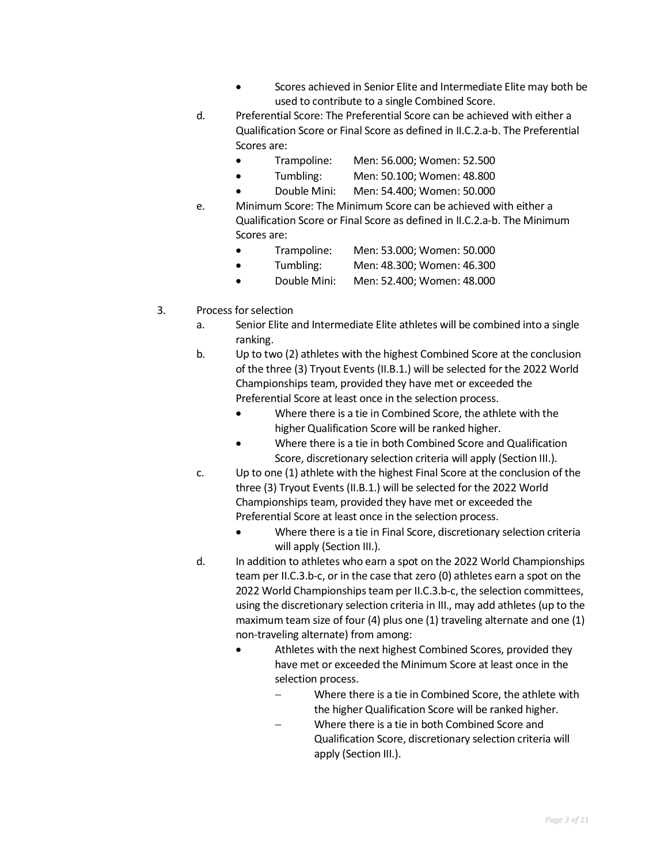- Scores achieved in Senior Elite and Intermediate Elite may both be used to contribute to a single Combined Score.
- d. Preferential Score: The Preferential Score can be achieved with either a Qualification Score or Final Score as defined in II.C.2.a-b. The Preferential Scores are:
	- Trampoline: Men: 56.000; Women: 52.500
	- Tumbling: Men: 50.100; Women: 48.800
	- Double Mini: Men: 54.400; Women: 50.000
- e. Minimum Score: The Minimum Score can be achieved with either a Qualification Score or Final Score as defined in II.C.2.a-b. The Minimum Scores are:
	- Trampoline: Men: 53.000; Women: 50.000
	- Tumbling: Men: 48.300; Women: 46.300
	- Double Mini: Men: 52.400; Women: 48.000
- 3. Process for selection
	- a. Senior Elite and Intermediate Elite athletes will be combined into a single ranking.
	- b. Up to two (2) athletes with the highest Combined Score at the conclusion of the three (3) Tryout Events (II.B.1.) will be selected for the 2022 World Championships team, provided they have met or exceeded the Preferential Score at least once in the selection process.
		- Where there is a tie in Combined Score, the athlete with the higher Qualification Score will be ranked higher.
		- Where there is a tie in both Combined Score and Qualification Score, discretionary selection criteria will apply (Section III.).
	- c. Up to one (1) athlete with the highest Final Score at the conclusion of the three (3) Tryout Events (II.B.1.) will be selected for the 2022 World Championships team, provided they have met or exceeded the Preferential Score at least once in the selection process.
		- Where there is a tie in Final Score, discretionary selection criteria will apply (Section III.).
	- d. In addition to athletes who earn a spot on the 2022 World Championships team per II.C.3.b-c, or in the case that zero (0) athletes earn a spot on the 2022 World Championships team per II.C.3.b-c, the selection committees, using the discretionary selection criteria in III., may add athletes (up to the maximum team size of four (4) plus one (1) traveling alternate and one (1) non-traveling alternate) from among:
		- Athletes with the next highest Combined Scores, provided they have met or exceeded the Minimum Score at least once in the selection process.
			- Where there is a tie in Combined Score, the athlete with the higher Qualification Score will be ranked higher.
			- − Where there is a tie in both Combined Score and Qualification Score, discretionary selection criteria will apply (Section III.).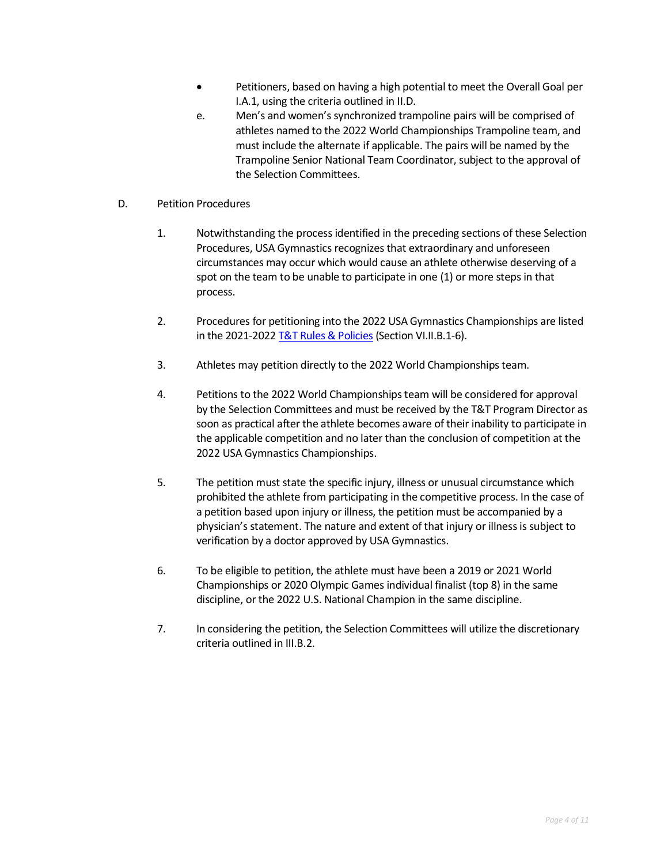- Petitioners, based on having a high potential to meet the Overall Goal per I.A.1, using the criteria outlined in II.D.
- e. Men's and women's synchronized trampoline pairs will be comprised of athletes named to the 2022 World Championships Trampoline team, and must include the alternate if applicable. The pairs will be named by the Trampoline Senior National Team Coordinator, subject to the approval of the Selection Committees.
- D. Petition Procedures
	- 1. Notwithstanding the process identified in the preceding sections of these Selection Procedures, USA Gymnastics recognizes that extraordinary and unforeseen circumstances may occur which would cause an athlete otherwise deserving of a spot on the team to be unable to participate in one (1) or more steps in that process.
	- 2. Procedures for petitioning into the 2022 USA Gymnastics Championships are listed in the 2021-2022 [T&T Rules & Policies](https://usagym.org/pages/tt/pages/rules_policies.html) (Section VI.II.B.1-6).
	- 3. Athletes may petition directly to the 2022 World Championships team.
	- 4. Petitions to the 2022 World Championshipsteam will be considered for approval by the Selection Committees and must be received by the T&T Program Director as soon as practical after the athlete becomes aware of their inability to participate in the applicable competition and no later than the conclusion of competition at the 2022 USA Gymnastics Championships.
	- 5. The petition must state the specific injury, illness or unusual circumstance which prohibited the athlete from participating in the competitive process. In the case of a petition based upon injury or illness, the petition must be accompanied by a physician's statement. The nature and extent of that injury or illness is subject to verification by a doctor approved by USA Gymnastics.
	- 6. To be eligible to petition, the athlete must have been a 2019 or 2021 World Championships or 2020 Olympic Games individual finalist (top 8) in the same discipline, or the 2022 U.S. National Champion in the same discipline.
	- 7. In considering the petition, the Selection Committees will utilize the discretionary criteria outlined in III.B.2.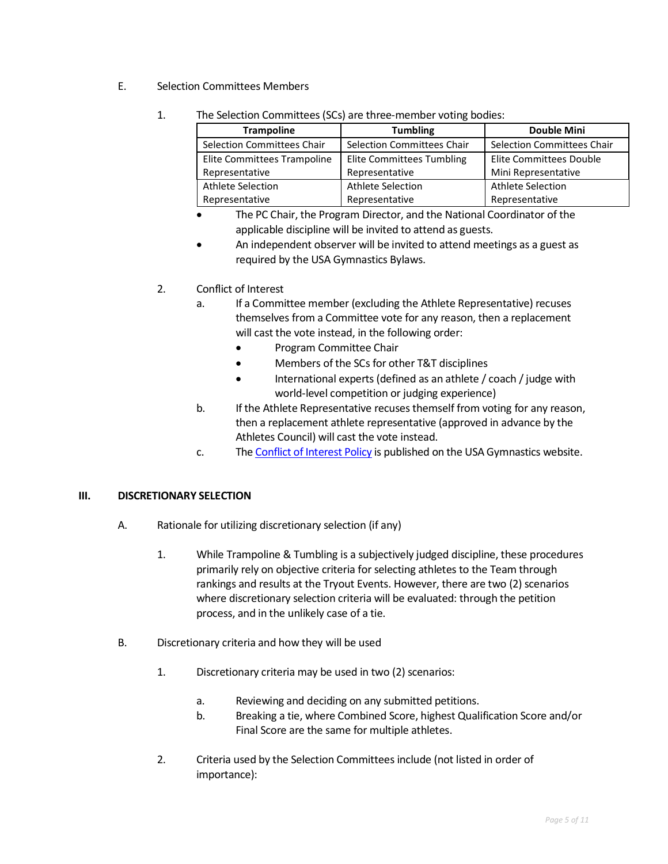- E. Selection Committees Members
	- 1. The Selection Committees (SCs) are three-member voting bodies:

| <b>Trampoline</b>           | <b>Tumbling</b>                   | <b>Double Mini</b>                |  |  |
|-----------------------------|-----------------------------------|-----------------------------------|--|--|
| Selection Committees Chair  | <b>Selection Committees Chair</b> | <b>Selection Committees Chair</b> |  |  |
| Elite Committees Trampoline | <b>Elite Committees Tumbling</b>  | <b>Elite Committees Double</b>    |  |  |
| Representative              | Representative                    | Mini Representative               |  |  |
| Athlete Selection           | <b>Athlete Selection</b>          | Athlete Selection                 |  |  |
| Representative              | Representative                    | Representative                    |  |  |

- The PC Chair, the Program Director, and the National Coordinator of the applicable discipline will be invited to attend as guests.
- An independent observer will be invited to attend meetings as a guest as required by the USA Gymnastics Bylaws.

#### 2. Conflict of Interest

- a. If a Committee member (excluding the Athlete Representative) recuses themselves from a Committee vote for any reason, then a replacement will cast the vote instead, in the following order:
	- Program Committee Chair
	- Members of the SCs for other T&T disciplines
	- International experts (defined as an athlete / coach / judge with world-level competition or judging experience)
- b. If the Athlete Representative recuses themself from voting for any reason, then a replacement athlete representative (approved in advance by the Athletes Council) will cast the vote instead.
- c. Th[e Conflict of Interest Policy](https://usagym.org/PDFs/Pressbox/Selection%20Procedures/conflictinterest.pdf) is published on the USA Gymnastics website.

#### **III. DISCRETIONARY SELECTION**

- A. Rationale for utilizing discretionary selection (if any)
	- 1. While Trampoline & Tumbling is a subjectively judged discipline, these procedures primarily rely on objective criteria for selecting athletes to the Team through rankings and results at the Tryout Events. However, there are two (2) scenarios where discretionary selection criteria will be evaluated: through the petition process, and in the unlikely case of a tie.
- B. Discretionary criteria and how they will be used
	- 1. Discretionary criteria may be used in two (2) scenarios:
		- a. Reviewing and deciding on any submitted petitions.
		- b. Breaking a tie, where Combined Score, highest Qualification Score and/or Final Score are the same for multiple athletes.
	- 2. Criteria used by the Selection Committees include (not listed in order of importance):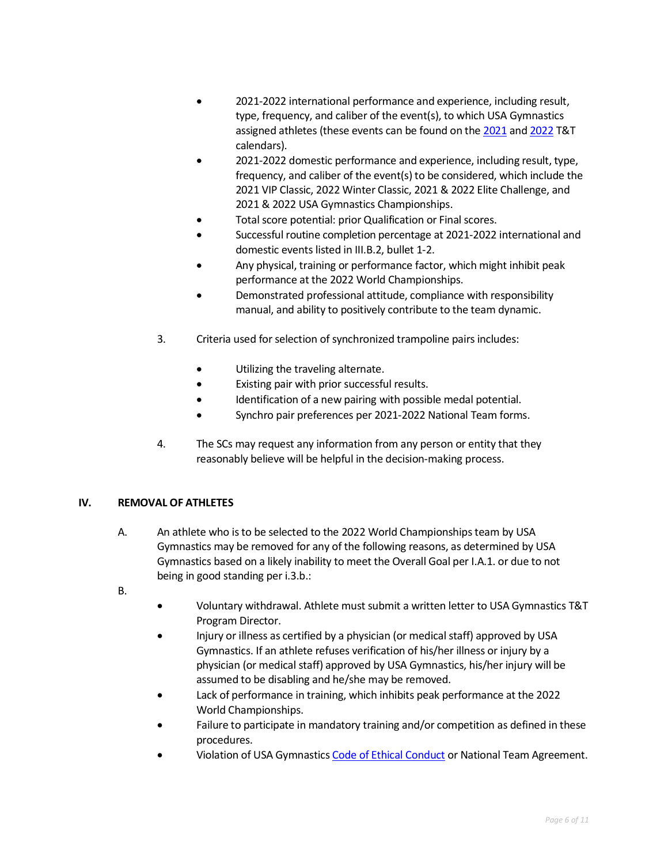- 2021-2022 international performance and experience, including result, type, frequency, and caliber of the event(s), to which USA Gymnastics assigned athletes (these events can be found on the [2021](https://usagym.org/PDFs/T&T/T&T%20Program%20Events/21eventcalendar.pdf) and [2022](https://usagym.org/PDFs/T&T/T&T%20Program%20Events/22eventcalendar.pdf) T&T calendars).
- 2021-2022 domestic performance and experience, including result, type, frequency, and caliber of the event(s) to be considered, which include the 2021 VIP Classic, 2022 Winter Classic, 2021 & 2022 Elite Challenge, and 2021 & 2022 USA Gymnastics Championships.
- Total score potential: prior Qualification or Final scores.
- Successful routine completion percentage at 2021-2022 international and domestic events listed in III.B.2, bullet 1-2.
- Any physical, training or performance factor, which might inhibit peak performance at the 2022 World Championships.
- Demonstrated professional attitude, compliance with responsibility manual, and ability to positively contribute to the team dynamic.
- 3. Criteria used for selection of synchronized trampoline pairs includes:
	- Utilizing the traveling alternate.
	- Existing pair with prior successful results.
	- Identification of a new pairing with possible medal potential.
	- Synchro pair preferences per 2021-2022 National Team forms.
- 4. The SCs may request any information from any person or entity that they reasonably believe will be helpful in the decision-making process.

#### **IV. REMOVAL OF ATHLETES**

- A. An athlete who is to be selected to the 2022 World Championships team by USA Gymnastics may be removed for any of the following reasons, as determined by USA Gymnastics based on a likely inability to meet the Overall Goal per I.A.1. or due to not being in good standing per i.3.b.:
- B.
- Voluntary withdrawal. Athlete must submit a written letter to USA Gymnastics T&T Program Director.
- Injury or illness as certified by a physician (or medical staff) approved by USA Gymnastics. If an athlete refuses verification of his/her illness or injury by a physician (or medical staff) approved by USA Gymnastics, his/her injury will be assumed to be disabling and he/she may be removed.
- Lack of performance in training, which inhibits peak performance at the 2022 World Championships.
- Failure to participate in mandatory training and/or competition as defined in these procedures.
- Violation of USA Gymnastic[s Code of Ethical Conduct](https://www.usagym.org/pages/aboutus/pages/code_of_ethics.html) or National Team Agreement.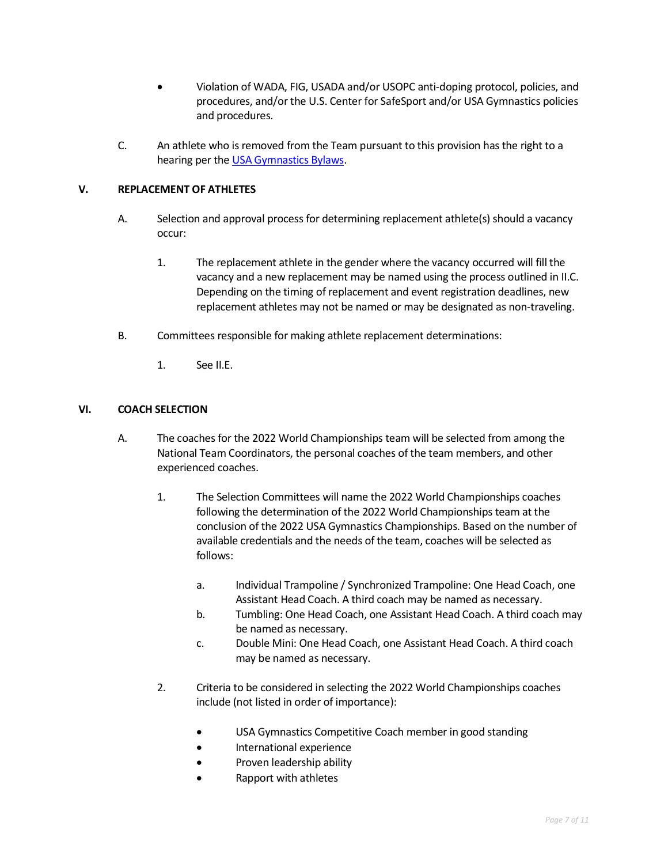- Violation of WADA, FIG, USADA and/or USOPC anti-doping protocol, policies, and procedures, and/or the U.S. Center for SafeSport and/or USA Gymnastics policies and procedures.
- C. An athlete who is removed from the Team pursuant to this provision has the right to a hearing per the [USA Gymnastics Bylaws.](https://www.usagym.org/PDFs/About%20USA%20Gymnastics/Governance/usag-bylaws.pdf)

#### **V. REPLACEMENT OF ATHLETES**

- A. Selection and approval process for determining replacement athlete(s) should a vacancy occur:
	- 1. The replacement athlete in the gender where the vacancy occurred will fill the vacancy and a new replacement may be named using the process outlined in II.C. Depending on the timing of replacement and event registration deadlines, new replacement athletes may not be named or may be designated as non-traveling.
- B. Committees responsible for making athlete replacement determinations:
	- 1. See II.E.

#### **VI. COACH SELECTION**

- A. The coaches for the 2022 World Championships team will be selected from among the National Team Coordinators, the personal coaches of the team members, and other experienced coaches.
	- 1. The Selection Committees will name the 2022 World Championships coaches following the determination of the 2022 World Championships team at the conclusion of the 2022 USA Gymnastics Championships. Based on the number of available credentials and the needs of the team, coaches will be selected as follows:
		- a. Individual Trampoline / Synchronized Trampoline: One Head Coach, one Assistant Head Coach. A third coach may be named as necessary.
		- b. Tumbling: One Head Coach, one Assistant Head Coach. A third coach may be named as necessary.
		- c. Double Mini: One Head Coach, one Assistant Head Coach. A third coach may be named as necessary.
	- 2. Criteria to be considered in selecting the 2022 World Championships coaches include (not listed in order of importance):
		- USA Gymnastics Competitive Coach member in good standing
		- International experience
		- Proven leadership ability
		- Rapport with athletes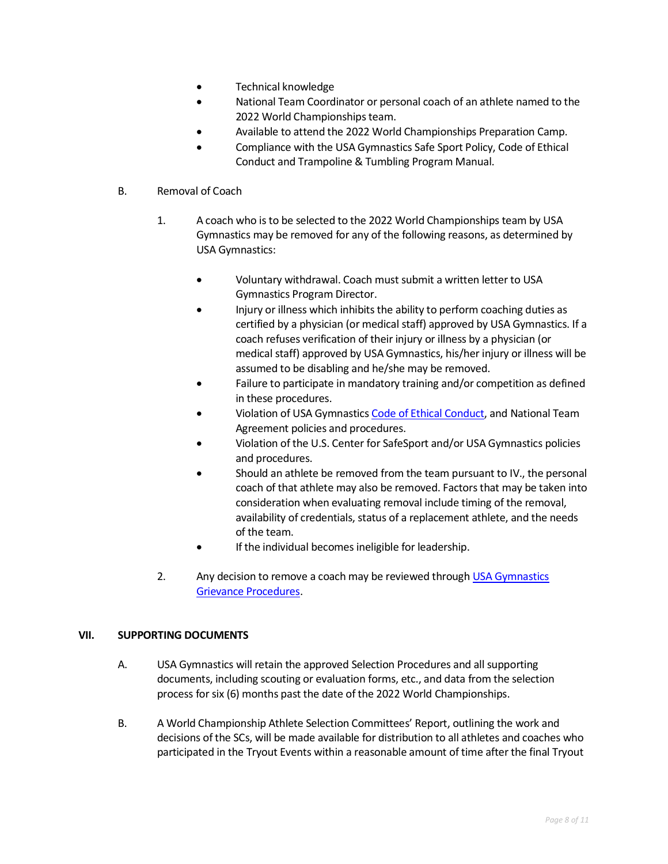- Technical knowledge
- National Team Coordinator or personal coach of an athlete named to the 2022 World Championships team.
- Available to attend the 2022 World Championships Preparation Camp.
- Compliance with the USA Gymnastics Safe Sport Policy, Code of Ethical Conduct and Trampoline & Tumbling Program Manual.

#### B. Removal of Coach

- 1. A coach who is to be selected to the 2022 World Championships team by USA Gymnastics may be removed for any of the following reasons, as determined by USA Gymnastics:
	- Voluntary withdrawal. Coach must submit a written letter to USA Gymnastics Program Director.
	- Injury or illness which inhibits the ability to perform coaching duties as certified by a physician (or medical staff) approved by USA Gymnastics. If a coach refuses verification of their injury or illness by a physician (or medical staff) approved by USA Gymnastics, his/her injury or illness will be assumed to be disabling and he/she may be removed.
	- Failure to participate in mandatory training and/or competition as defined in these procedures.
	- Violation of USA Gymnastic[s Code of Ethical Conduct,](https://www.usagym.org/pages/aboutus/pages/code_of_ethics.html) and National Team Agreement policies and procedures.
	- Violation of the U.S. Center for SafeSport and/or USA Gymnastics policies and procedures.
	- Should an athlete be removed from the team pursuant to IV., the personal coach of that athlete may also be removed. Factors that may be taken into consideration when evaluating removal include timing of the removal, availability of credentials, status of a replacement athlete, and the needs of the team.
	- If the individual becomes ineligible for leadership.
- 2. Any decision to remove a coach may be reviewed through USA Gymnastics [Grievance Procedures.](https://usagym.org/PDFs/About%20USA%20Gymnastics/Governance/grievance.pdf)

#### **VII. SUPPORTING DOCUMENTS**

- A. USA Gymnastics will retain the approved Selection Procedures and all supporting documents, including scouting or evaluation forms, etc., and data from the selection process for six (6) months past the date of the 2022 World Championships.
- B. A World Championship Athlete Selection Committees' Report, outlining the work and decisions of the SCs, will be made available for distribution to all athletes and coaches who participated in the Tryout Events within a reasonable amount of time after the final Tryout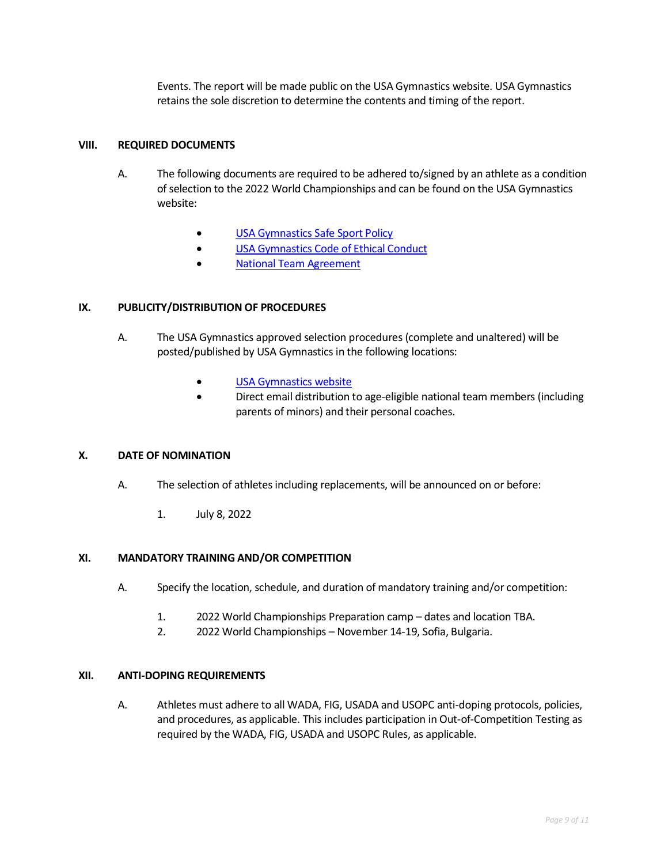Events. The report will be made public on the USA Gymnastics website. USA Gymnastics retains the sole discretion to determine the contents and timing of the report.

#### **VIII. REQUIRED DOCUMENTS**

- A. The following documents are required to be adhered to/signed by an athlete as a condition of selection to the 2022 World Championships and can be found on the USA Gymnastics website:
	- **[USA Gymnastics Safe Sport Policy](http://usagym.org/pages/education/safesport/policy.html)**
	- [USA Gymnastics Code of Ethical Conduct](https://www.usagym.org/pages/aboutus/pages/code_of_ethics.html)
	- [National Team Agreement](https://www.usagym.org/pages/tt/pages/selection_procedures.html)

#### **IX. PUBLICITY/DISTRIBUTION OF PROCEDURES**

- A. The USA Gymnastics approved selection procedures (complete and unaltered) will be posted/published by USA Gymnastics in the following locations:
	- [USA Gymnastics website](http://usagym.org/pages/tt/pages/selection_procedures.html)
	- Direct email distribution to age-eligible national team members (including parents of minors) and their personal coaches.

#### **X. DATE OF NOMINATION**

- A. The selection of athletes including replacements, will be announced on or before:
	- 1. July 8, 2022

#### **XI. MANDATORY TRAINING AND/OR COMPETITION**

- A. Specify the location, schedule, and duration of mandatory training and/or competition:
	- 1. 2022 World Championships Preparation camp dates and location TBA.
	- 2. 2022 World Championships November 14-19, Sofia, Bulgaria.

#### **XII. ANTI-DOPING REQUIREMENTS**

A. Athletes must adhere to all WADA, FIG, USADA and USOPC anti-doping protocols, policies, and procedures, as applicable. This includes participation in Out-of-Competition Testing as required by the WADA, FIG, USADA and USOPC Rules, as applicable.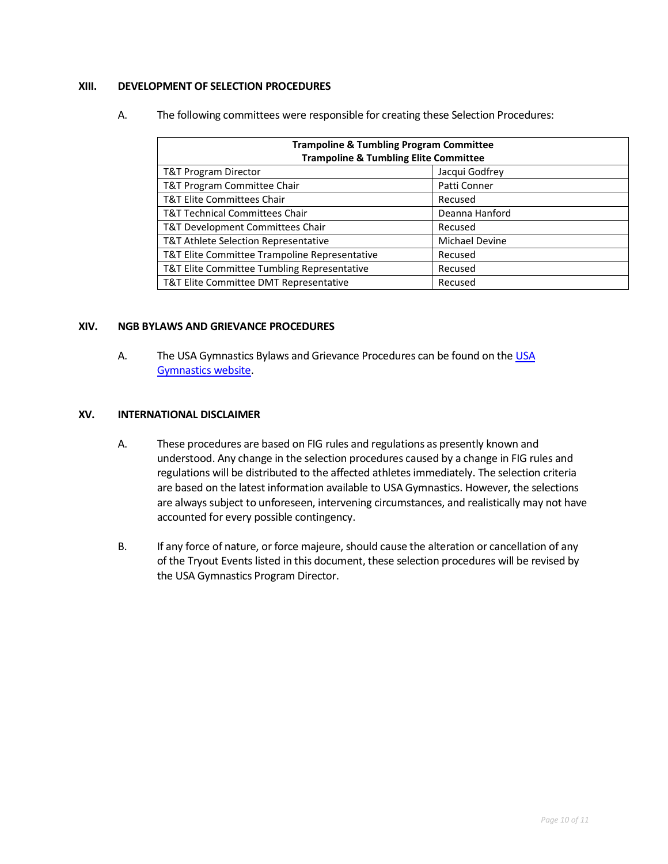#### **XIII. DEVELOPMENT OF SELECTION PROCEDURES**

A. The following committees were responsible for creating these Selection Procedures:

| <b>Trampoline &amp; Tumbling Program Committee</b><br><b>Trampoline &amp; Tumbling Elite Committee</b> |                |  |
|--------------------------------------------------------------------------------------------------------|----------------|--|
| T&T Program Director                                                                                   | Jacqui Godfrey |  |
| T&T Program Committee Chair                                                                            | Patti Conner   |  |
| <b>T&amp;T Elite Committees Chair</b>                                                                  | Recused        |  |
| T&T Technical Committees Chair                                                                         | Deanna Hanford |  |
| T&T Development Committees Chair                                                                       | Recused        |  |
| T&T Athlete Selection Representative                                                                   | Michael Devine |  |
| T&T Elite Committee Trampoline Representative                                                          | Recused        |  |
| T&T Elite Committee Tumbling Representative                                                            | Recused        |  |
| T&T Elite Committee DMT Representative                                                                 | Recused        |  |

#### **XIV. NGB BYLAWS AND GRIEVANCE PROCEDURES**

A. Th[e USA](https://www.usagym.org/PDFs/About%20USA%20Gymnastics/Governance/usag-bylaws.pdf) Gymnastics Bylaws and Grievance Procedures can be found on the USA [Gymnastics website.](https://www.usagym.org/PDFs/About%20USA%20Gymnastics/Governance/usag-bylaws.pdf)

#### **XV. INTERNATIONAL DISCLAIMER**

- A. These procedures are based on FIG rules and regulations as presently known and understood. Any change in the selection procedures caused by a change in FIG rules and regulations will be distributed to the affected athletes immediately. The selection criteria are based on the latest information available to USA Gymnastics. However, the selections are always subject to unforeseen, intervening circumstances, and realistically may not have accounted for every possible contingency.
- B. If any force of nature, or force majeure, should cause the alteration or cancellation of any of the Tryout Events listed in this document, these selection procedures will be revised by the USA Gymnastics Program Director.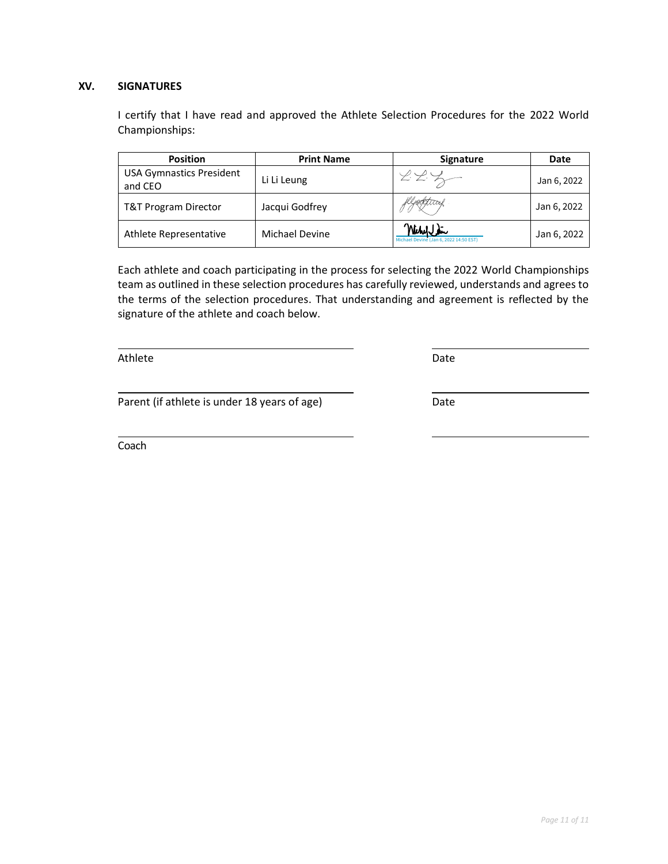#### **XV. SIGNATURES**

I certify that I have read and approved the Athlete Selection Procedures for the 2022 World Championships:

| <b>Position</b>                            | <b>Print Name</b> | <b>Signature</b>                                    | Date        |
|--------------------------------------------|-------------------|-----------------------------------------------------|-------------|
| <b>USA Gymnastics President</b><br>and CEO | Li Li Leung       | 222                                                 | Jan 6, 2022 |
| T&T Program Director                       | Jacqui Godfrey    |                                                     | Jan 6, 2022 |
| Athlete Representative                     | Michael Devine    | Willy Sir<br>Michael Devine (Jan 6, 2022 14:50 EST) | Jan 6, 2022 |

Each athlete and coach participating in the process for selecting the 2022 World Championships team as outlined in these selection procedures has carefully reviewed, understands and agrees to the terms of the selection procedures. That understanding and agreement is reflected by the signature of the athlete and coach below.

Athlete Date Date Date Date Date Date Date

Parent (if athlete is under 18 years of age) Date

Coach